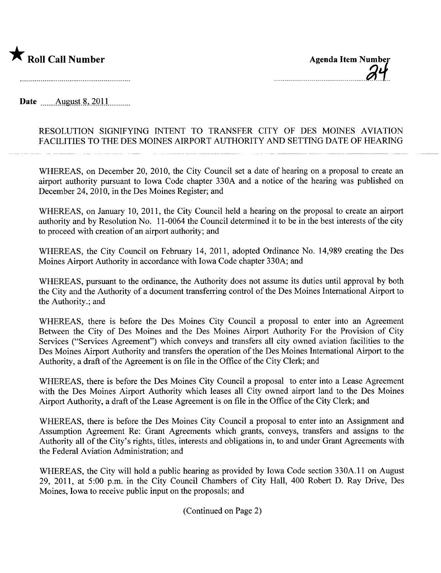

-- -- -- -- -- -- -- -- -- -- -- -- -- -- -- -- - ~ i-

Date \_\_\_\_\_\_\_ August 8, 2011

## RESOLUTION SIGNIFYING INTENT TO TRANSFER CITY OF DES MOINES AVIATION FACILITIES TO THE DES MOINES AIRPORT AUTHORITY AND SETTING DATE OF HEARING

WHEREAS, on December 20, 2010, the City Council set a date of hearing on a proposal to create an airport authority pursuant to Iowa Code chapter 330A and a notice of the hearing was published on December 24,2010, in the Des Moines Register; and

WHEREAS, on January 10, 2011, the City Council held a hearing on the proposal to create an airport authority and by Resolution No. 11-0064 the Council determined it to be in the best interests of the city to proceed with creation of an airport authority; and

WHEREAS, the City Council on February 14, 2011, adopted Ordinance No. 14,989 creating the Des Moines Airport Authority in accordance with Iowa Code chapter 330A; and

WHEREAS, pursuant to the ordinance, the Authority does not assume its duties until approval by both the City and the Authority of a document transferring control of the Des Moines International Airport to the Authority.; and

WHEREAS, there is before the Des Moines City Council a proposal to enter into an Agreement Between the City of Des Moines and the Des Moines Airport Authority For the Provision of City Services ("Services Agreement") which conveys and transfers all city owned aviation facilities to the Des Moines Airport Authority and transfers the operation of the Des Moines International Airport to the Authority, a draft of the Agreement is on file in the Office of the City Clerk; and

WHEREAS, there is before the Des Moines City Council a proposal to enter into a Lease Agreement with the Des Moines Airport Authority which leases all City owned airport land to the Des Moines Airport Authority, a draft of the Lease Agreement is on file in the Office of the City Clerk; and

WHEREAS, there is before the Des Moines City Council a proposal to enter into an Assignment and Assumption Agreement Re: Grant Agreements which grants, conveys, transfers and assigns to the Authority all of the City's rights, titles, interests and obligations in, to and under Grant Agreements with the Federal Aviation Administration; and

WHEREAS, the City will hold a public hearing as provided by Iowa Code section 330A.11 on August 29, 2011, at 5:00 p.m. in the City Council Chambers of City Hall, 400 Robert D. Ray Drive, Des Moines, Iowa to receive public input on the proposals; and

(Continued on Page 2)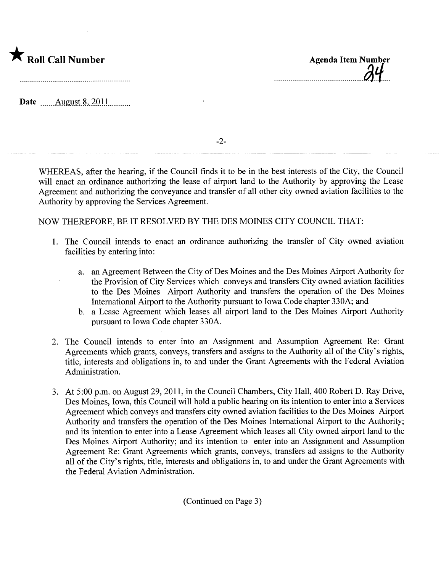

Date \_\_\_\_\_\_\_ August 8, 2011

-2-

WHEREAS, after the hearing, if the Council finds it to be in the best interests of the City, the Council will enact an ordinance authorizing the lease of airport land to the Authority by approving the Lease Agreement and authorizing the conveyance and transfer of all other city owned aviation facilities to the Authority by approving the Services Agreement.

## NOW THEREFORE, BE IT RESOLVED BY THE DES MOINES CITY COUNCIL THAT:

- 1. The Council intends to enact an ordinance authorizing the transfer of City owned aviation facilities by entering into:
	- a. an Agreement Between the City of Des Moines and the Des Moines Airport Authority for the Provision of City Services which conveys and transfers City owned aviation facilities to the Des Moines Airport Authority and transfers the operation of the Des Moines International Airport to the Authority pursuant to Iowa Code chapter 330A; and
	- b. a Lease Agreement which leases all airport land to the Des Moines Airport Authority pursuant to Iowa Code chapter 330A.
- 2. The Council intends to enter into an Assignment and Assumption Agreement Re: Grant Agreements which grants, conveys, transfers and assigns to the Authority all of the City's rights, title, interests and obligations in, to and under the Grant Agreements with the Federal Aviation Administration.
- 3. At 5:00 p.m. on August 29,2011, in the Council Chambers, City Hall, 400 Robert D. Ray Drive, Des Moines, Iowa, this Council will hold a public hearing on its intention to enter into a Services Agreement which conveys and transfers city owned aviation facilities to the Des Moines Airport Authority and transfers the operation of the Des Moines International Airport to the Authority; and its intention to enter into a Lease Agreement which leases all City owned airport land to the Des Moines Airport Authority; and its intention to enter into an Assignment and Assumption Agreement Re: Grant Agreements which grants, conveys, transfers ad assigns to the Authority all of the City's rights, title, interests and obligations in, to and under the Grant Agreements with the Federal Aviation Administration.

(Continued on Page 3)